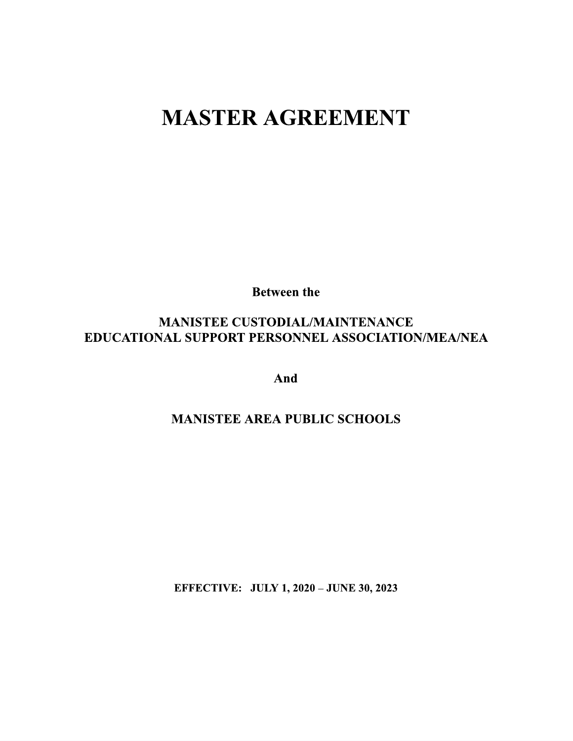# **MASTER AGREEMENT**

**Between the** 

# **MANISTEE CUSTODIAL/MAINTENANCE** EDUCATIONAL SUPPORT PERSONNEL ASSOCIATION/MEA/NEA

And

# **MANISTEE AREA PUBLIC SCHOOLS**

**EFFECTIVE: JULY 1, 2020 - JUNE 30, 2023**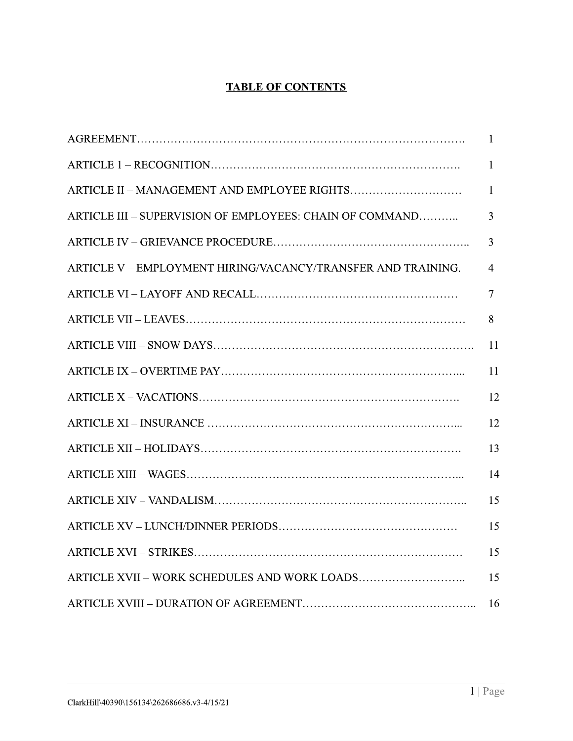### **TABLE OF CONTENTS**

|                                                              | $\overline{1}$ |
|--------------------------------------------------------------|----------------|
|                                                              | 1              |
|                                                              | $\mathbf{1}$   |
| ARTICLE III - SUPERVISION OF EMPLOYEES: CHAIN OF COMMAND     | $\overline{3}$ |
|                                                              | $\overline{3}$ |
| ARTICLE V - EMPLOYMENT-HIRING/VACANCY/TRANSFER AND TRAINING. | $\overline{4}$ |
|                                                              | 7              |
|                                                              | 8              |
|                                                              | 11             |
|                                                              | 11             |
|                                                              | 12             |
|                                                              | 12             |
|                                                              | 13             |
|                                                              | 14             |
|                                                              | 15             |
|                                                              | 15             |
|                                                              | 15             |
|                                                              | 15             |
|                                                              | 16             |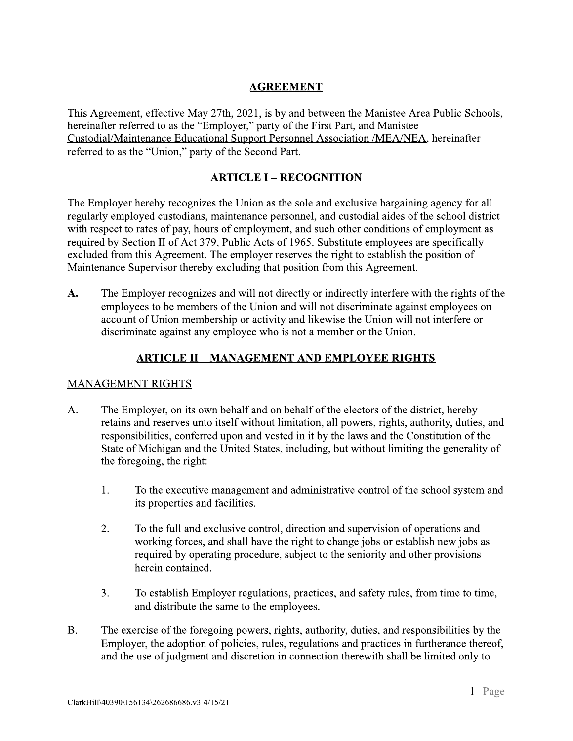#### **AGREEMENT**

This Agreement, effective May 27th, 2021, is by and between the Manistee Area Public Schools, hereinafter referred to as the "Employer," party of the First Part, and Manistee Custodial/Maintenance Educational Support Personnel Association /MEA/NEA, hereinafter referred to as the "Union," party of the Second Part.

#### **ARTICLE I - RECOGNITION**

The Employer hereby recognizes the Union as the sole and exclusive bargaining agency for all regularly employed custodians, maintenance personnel, and custodial aides of the school district with respect to rates of pay, hours of employment, and such other conditions of employment as required by Section II of Act 379, Public Acts of 1965. Substitute employees are specifically excluded from this Agreement. The employer reserves the right to establish the position of Maintenance Supervisor thereby excluding that position from this Agreement.

The Employer recognizes and will not directly or indirectly interfere with the rights of the  $\mathbf{A}$ . employees to be members of the Union and will not discriminate against employees on account of Union membership or activity and likewise the Union will not interfere or discriminate against any employee who is not a member or the Union.

#### **ARTICLE II - MANAGEMENT AND EMPLOYEE RIGHTS**

#### **MANAGEMENT RIGHTS**

- $A<sub>1</sub>$ The Employer, on its own behalf and on behalf of the electors of the district, hereby retains and reserves unto itself without limitation, all powers, rights, authority, duties, and responsibilities, conferred upon and vested in it by the laws and the Constitution of the State of Michigan and the United States, including, but without limiting the generality of the foregoing, the right:
	- $1<sup>1</sup>$ To the executive management and administrative control of the school system and its properties and facilities.
	- $2.$ To the full and exclusive control, direction and supervision of operations and working forces, and shall have the right to change jobs or establish new jobs as required by operating procedure, subject to the seniority and other provisions herein contained.
	- $3.$ To establish Employer regulations, practices, and safety rules, from time to time, and distribute the same to the employees.
- $B<sub>1</sub>$ The exercise of the foregoing powers, rights, authority, duties, and responsibilities by the Employer, the adoption of policies, rules, regulations and practices in furtherance thereof, and the use of judgment and discretion in connection therewith shall be limited only to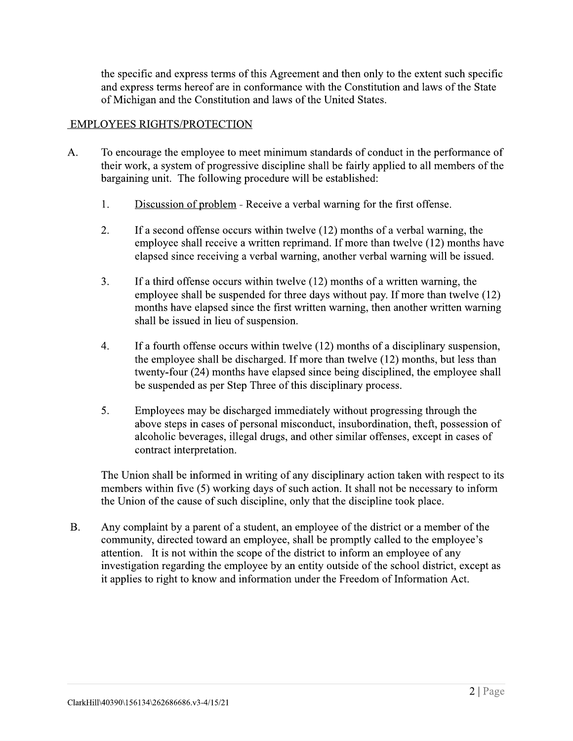the specific and express terms of this Agreement and then only to the extent such specific and express terms hereof are in conformance with the Constitution and laws of the State of Michigan and the Constitution and laws of the United States.

#### **EMPLOYEES RIGHTS/PROTECTION**

- $A<sub>1</sub>$ To encourage the employee to meet minimum standards of conduct in the performance of their work, a system of progressive discipline shall be fairly applied to all members of the bargaining unit. The following procedure will be established:
	- $1.$ Discussion of problem - Receive a verbal warning for the first offense.
	- $2<sup>1</sup>$ If a second offense occurs within twelve  $(12)$  months of a verbal warning, the employee shall receive a written reprimand. If more than twelve (12) months have elapsed since receiving a verbal warning, another verbal warning will be issued.
	- $3.$ If a third offense occurs within twelve  $(12)$  months of a written warning, the employee shall be suspended for three days without pay. If more than twelve (12) months have elapsed since the first written warning, then another written warning shall be issued in lieu of suspension.
	- $4.$ If a fourth offense occurs within twelve  $(12)$  months of a disciplinary suspension, the employee shall be discharged. If more than twelve (12) months, but less than twenty-four (24) months have elapsed since being disciplined, the employee shall be suspended as per Step Three of this disciplinary process.
	- $5.$ Employees may be discharged immediately without progressing through the above steps in cases of personal misconduct, insubordination, theft, possession of alcoholic beverages, illegal drugs, and other similar offenses, except in cases of contract interpretation.

The Union shall be informed in writing of any disciplinary action taken with respect to its members within five (5) working days of such action. It shall not be necessary to inform the Union of the cause of such discipline, only that the discipline took place.

 $B<sub>r</sub>$ Any complaint by a parent of a student, an employee of the district or a member of the community, directed toward an employee, shall be promptly called to the employee's attention. It is not within the scope of the district to inform an employee of any investigation regarding the employee by an entity outside of the school district, except as it applies to right to know and information under the Freedom of Information Act.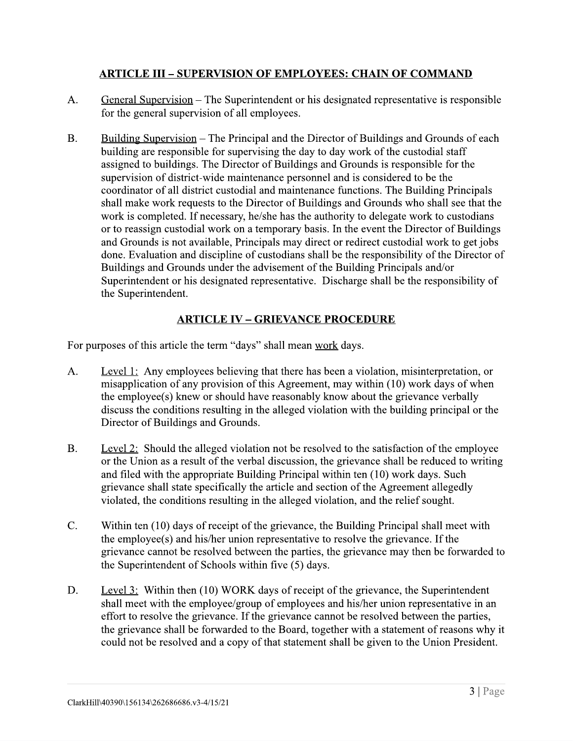#### **ARTICLE III – SUPERVISION OF EMPLOYEES: CHAIN OF COMMAND**

- $A_{\cdot}$ General Supervision – The Superintendent or his designated representative is responsible for the general supervision of all employees.
- $B<sub>r</sub>$ Building Supervision – The Principal and the Director of Buildings and Grounds of each building are responsible for supervising the day to day work of the custodial staff assigned to buildings. The Director of Buildings and Grounds is responsible for the supervision of district-wide maintenance personnel and is considered to be the coordinator of all district custodial and maintenance functions. The Building Principals shall make work requests to the Director of Buildings and Grounds who shall see that the work is completed. If necessary, he/she has the authority to delegate work to custodians or to reassign custodial work on a temporary basis. In the event the Director of Buildings and Grounds is not available, Principals may direct or redirect custodial work to get jobs done. Evaluation and discipline of custodians shall be the responsibility of the Director of Buildings and Grounds under the advisement of the Building Principals and/or Superintendent or his designated representative. Discharge shall be the responsibility of the Superintendent.

#### **ARTICLE IV - GRIEVANCE PROCEDURE**

For purposes of this article the term "days" shall mean work days.

- Level 1: Any employees believing that there has been a violation, misinterpretation, or  $A<sub>1</sub>$ misapplication of any provision of this Agreement, may within (10) work days of when the employee(s) knew or should have reasonably know about the grievance verbally discuss the conditions resulting in the alleged violation with the building principal or the Director of Buildings and Grounds.
- $B<sub>1</sub>$ Level 2: Should the alleged violation not be resolved to the satisfaction of the employee or the Union as a result of the verbal discussion, the grievance shall be reduced to writing and filed with the appropriate Building Principal within ten (10) work days. Such grievance shall state specifically the article and section of the Agreement allegedly violated, the conditions resulting in the alleged violation, and the relief sought.
- $C_{\cdot}$ Within ten (10) days of receipt of the grievance, the Building Principal shall meet with the employee(s) and his/her union representative to resolve the grievance. If the grievance cannot be resolved between the parties, the grievance may then be forwarded to the Superintendent of Schools within five (5) days.
- D. Level 3: Within then (10) WORK days of receipt of the grievance, the Superintendent shall meet with the employee/group of employees and his/her union representative in an effort to resolve the grievance. If the grievance cannot be resolved between the parties, the grievance shall be forwarded to the Board, together with a statement of reasons why it could not be resolved and a copy of that statement shall be given to the Union President.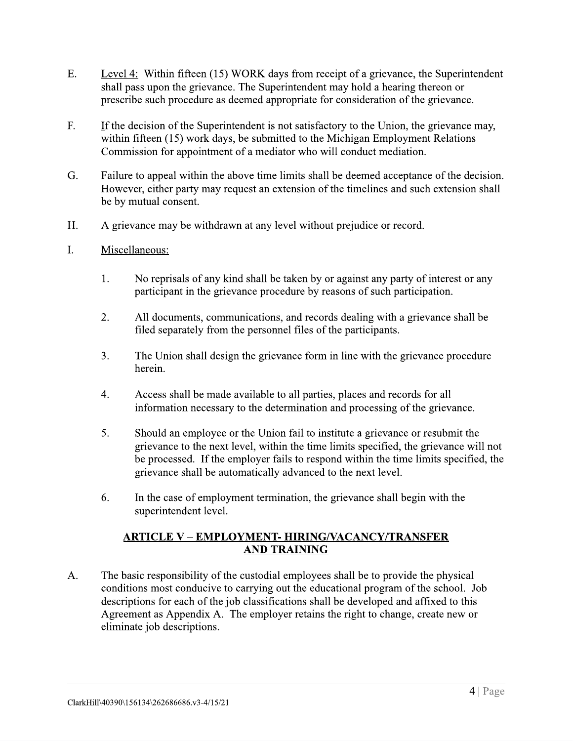- $E.$ Level 4: Within fifteen (15) WORK days from receipt of a grievance, the Superintendent shall pass upon the grievance. The Superintendent may hold a hearing thereon or prescribe such procedure as deemed appropriate for consideration of the grievance.
- $F_{\cdot}$ If the decision of the Superintendent is not satisfactory to the Union, the grievance may, within fifteen (15) work days, be submitted to the Michigan Employment Relations Commission for appointment of a mediator who will conduct mediation.
- G. Failure to appeal within the above time limits shall be deemed acceptance of the decision. However, either party may request an extension of the timelines and such extension shall be by mutual consent.
- $H_{\cdot}$ A grievance may be withdrawn at any level without prejudice or record.
- $\mathbf{L}$ Miscellaneous:
	- $1.$ No reprisals of any kind shall be taken by or against any party of interest or any participant in the grievance procedure by reasons of such participation.
	- $2.$ All documents, communications, and records dealing with a grievance shall be filed separately from the personnel files of the participants.
	- $3.$ The Union shall design the grievance form in line with the grievance procedure herein.
	- $4.$ Access shall be made available to all parties, places and records for all information necessary to the determination and processing of the grievance.
	- 5. Should an employee or the Union fail to institute a grievance or resubmit the grievance to the next level, within the time limits specified, the grievance will not be processed. If the employer fails to respond within the time limits specified, the grievance shall be automatically advanced to the next level.
	- 6. In the case of employment termination, the grievance shall begin with the superintendent level.

#### **ARTICLE V - EMPLOYMENT- HIRING/VACANCY/TRANSFER AND TRAINING**

 $A<sub>1</sub>$ The basic responsibility of the custodial employees shall be to provide the physical conditions most conducive to carrying out the educational program of the school. Job descriptions for each of the job classifications shall be developed and affixed to this Agreement as Appendix A. The employer retains the right to change, create new or eliminate job descriptions.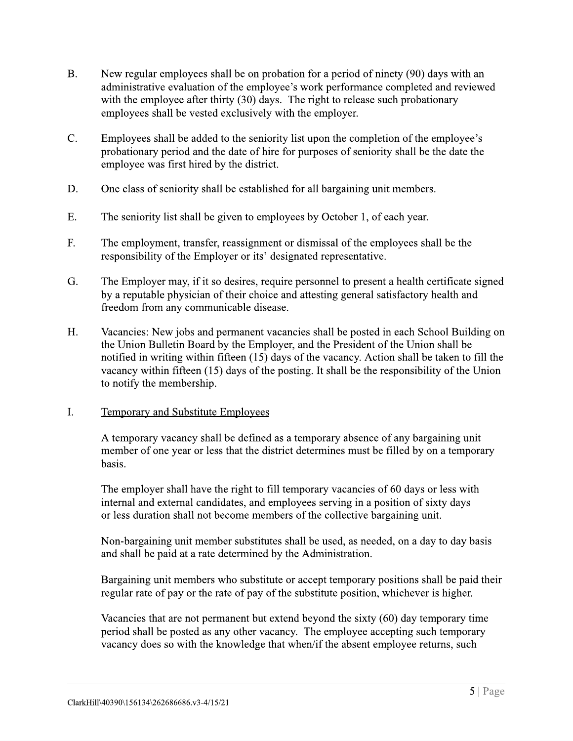- $B<sub>1</sub>$ New regular employees shall be on probation for a period of ninety (90) days with an administrative evaluation of the employee's work performance completed and reviewed with the employee after thirty (30) days. The right to release such probationary employees shall be vested exclusively with the employer.
- $C_{\cdot}$ Employees shall be added to the seniority list upon the completion of the employee's probationary period and the date of hire for purposes of seniority shall be the date the employee was first hired by the district.
- D. One class of seniority shall be established for all bargaining unit members.
- $E.$ The seniority list shall be given to employees by October 1, of each year.
- F. The employment, transfer, reassignment or dismissal of the employees shall be the responsibility of the Employer or its' designated representative.
- G. The Employer may, if it so desires, require personnel to present a health certificate signed by a reputable physician of their choice and attesting general satisfactory health and freedom from any communicable disease.
- $H_{\cdot}$ Vacancies: New jobs and permanent vacancies shall be posted in each School Building on the Union Bulletin Board by the Employer, and the President of the Union shall be notified in writing within fifteen (15) days of the vacancy. Action shall be taken to fill the vacancy within fifteen (15) days of the posting. It shall be the responsibility of the Union to notify the membership.
- $\mathbf{I}$ . **Temporary and Substitute Employees**

A temporary vacancy shall be defined as a temporary absence of any bargaining unit member of one year or less that the district determines must be filled by on a temporary basis.

The employer shall have the right to fill temporary vacancies of 60 days or less with internal and external candidates, and employees serving in a position of sixty days or less duration shall not become members of the collective bargaining unit.

Non-bargaining unit member substitutes shall be used, as needed, on a day to day basis and shall be paid at a rate determined by the Administration.

Bargaining unit members who substitute or accept temporary positions shall be paid their regular rate of pay or the rate of pay of the substitute position, whichever is higher.

Vacancies that are not permanent but extend beyond the sixty  $(60)$  day temporary time period shall be posted as any other vacancy. The employee accepting such temporary vacancy does so with the knowledge that when/if the absent employee returns, such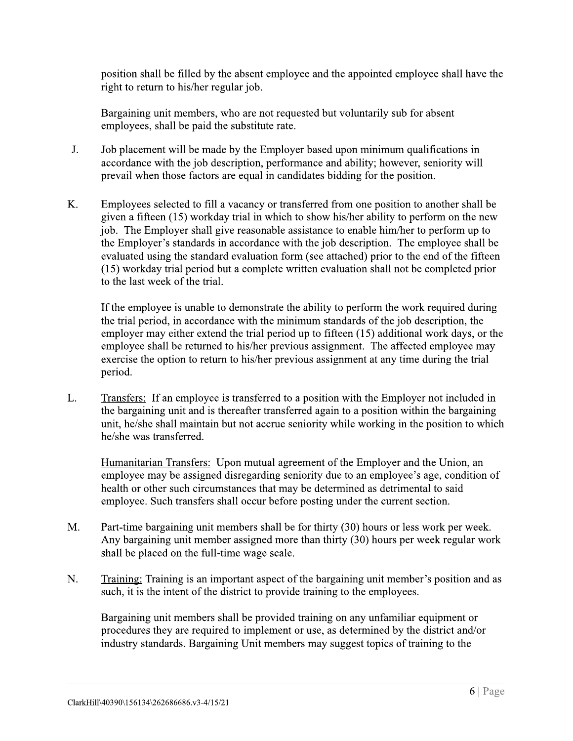position shall be filled by the absent employee and the appointed employee shall have the right to return to his/her regular job.

Bargaining unit members, who are not requested but voluntarily sub for absent employees, shall be paid the substitute rate.

- $J<sub>1</sub>$ Job placement will be made by the Employer based upon minimum qualifications in accordance with the job description, performance and ability; however, seniority will prevail when those factors are equal in candidates bidding for the position.
- K. Employees selected to fill a vacancy or transferred from one position to another shall be given a fifteen (15) workday trial in which to show his/her ability to perform on the new job. The Employer shall give reasonable assistance to enable him/her to perform up to the Employer's standards in accordance with the job description. The employee shall be evaluated using the standard evaluation form (see attached) prior to the end of the fifteen (15) workday trial period but a complete written evaluation shall not be completed prior to the last week of the trial.

If the employee is unable to demonstrate the ability to perform the work required during the trial period, in accordance with the minimum standards of the job description, the employer may either extend the trial period up to fifteen (15) additional work days, or the employee shall be returned to his/her previous assignment. The affected employee may exercise the option to return to his/her previous assignment at any time during the trial period.

L. Transfers: If an employee is transferred to a position with the Employer not included in the bargaining unit and is thereafter transferred again to a position within the bargaining unit, he/she shall maintain but not accrue seniority while working in the position to which he/she was transferred.

Humanitarian Transfers: Upon mutual agreement of the Employer and the Union, an employee may be assigned disregarding seniority due to an employee's age, condition of health or other such circumstances that may be determined as detrimental to said employee. Such transfers shall occur before posting under the current section.

- M. Part-time bargaining unit members shall be for thirty (30) hours or less work per week. Any bargaining unit member assigned more than thirty (30) hours per week regular work shall be placed on the full-time wage scale.
- $N_{\cdot}$ Training: Training is an important aspect of the bargaining unit member's position and as such, it is the intent of the district to provide training to the employees.

Bargaining unit members shall be provided training on any unfamiliar equipment or procedures they are required to implement or use, as determined by the district and/or industry standards. Bargaining Unit members may suggest topics of training to the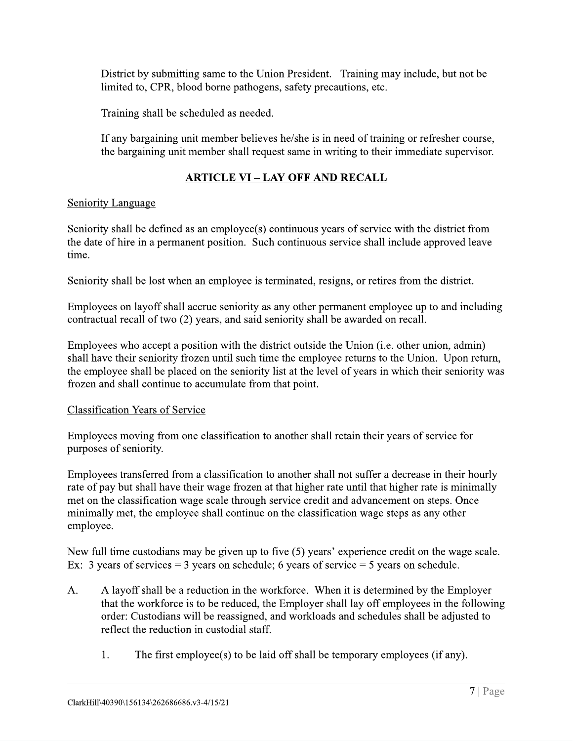District by submitting same to the Union President. Training may include, but not be limited to, CPR, blood borne pathogens, safety precautions, etc.

Training shall be scheduled as needed.

If any bargaining unit member believes he/she is in need of training or refresher course, the bargaining unit member shall request same in writing to their immediate supervisor.

## **ARTICLE VI - LAY OFF AND RECALL**

#### **Seniority Language**

Seniority shall be defined as an employee(s) continuous years of service with the district from the date of hire in a permanent position. Such continuous service shall include approved leave time.

Seniority shall be lost when an employee is terminated, resigns, or retires from the district.

Employees on layoff shall accrue seniority as any other permanent employee up to and including contractual recall of two (2) years, and said seniority shall be awarded on recall.

Employees who accept a position with the district outside the Union (*i.e. other union, admin*) shall have their seniority frozen until such time the employee returns to the Union. Upon return, the employee shall be placed on the seniority list at the level of years in which their seniority was frozen and shall continue to accumulate from that point.

#### **Classification Years of Service**

Employees moving from one classification to another shall retain their years of service for purposes of seniority.

Employees transferred from a classification to another shall not suffer a decrease in their hourly rate of pay but shall have their wage frozen at that higher rate until that higher rate is minimally met on the classification wage scale through service credit and advancement on steps. Once minimally met, the employee shall continue on the classification wage steps as any other employee.

New full time custodians may be given up to five (5) years' experience credit on the wage scale. Ex: 3 years of services = 3 years on schedule; 6 years of service = 5 years on schedule.

- A layoff shall be a reduction in the workforce. When it is determined by the Employer  $A_{\cdot}$ that the workforce is to be reduced, the Employer shall lay off employees in the following order: Custodians will be reassigned, and workloads and schedules shall be adjusted to reflect the reduction in custodial staff.
	- 1. The first employee(s) to be laid off shall be temporary employees (if any).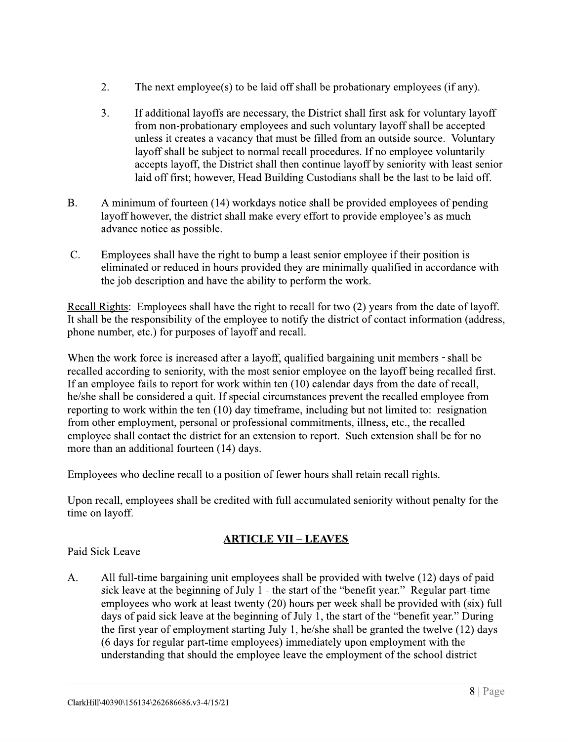- $2.$ The next employee(s) to be laid off shall be probationary employees (if any).
- $3.$ If additional layoffs are necessary, the District shall first ask for voluntary layoff from non-probationary employees and such voluntary layoff shall be accepted unless it creates a vacancy that must be filled from an outside source. Voluntary layoff shall be subject to normal recall procedures. If no employee voluntarily accepts layoff, the District shall then continue layoff by seniority with least senior laid off first; however, Head Building Custodians shall be the last to be laid off.
- $B<sub>1</sub>$ A minimum of fourteen (14) workdays notice shall be provided employees of pending layoff however, the district shall make every effort to provide employee's as much advance notice as possible.
- $C_{\cdot}$ Employees shall have the right to bump a least senior employee if their position is eliminated or reduced in hours provided they are minimally qualified in accordance with the job description and have the ability to perform the work.

Recall Rights: Employees shall have the right to recall for two (2) years from the date of layoff. It shall be the responsibility of the employee to notify the district of contact information (address, phone number, etc.) for purposes of layoff and recall.

When the work force is increased after a layoff, qualified bargaining unit members - shall be recalled according to seniority, with the most senior employee on the layoff being recalled first. If an employee fails to report for work within ten (10) calendar days from the date of recall, he/she shall be considered a quit. If special circumstances prevent the recalled employee from reporting to work within the ten (10) day time frame, including but not limited to: resignation from other employment, personal or professional commitments, illness, etc., the recalled employee shall contact the district for an extension to report. Such extension shall be for no more than an additional fourteen (14) days.

Employees who decline recall to a position of fewer hours shall retain recall rights.

Upon recall, employees shall be credited with full accumulated seniority without penalty for the time on layoff.

#### <u> ARTICLE VII – LEAVES</u>

#### Paid Sick Leave

 $A<sub>1</sub>$ All full-time bargaining unit employees shall be provided with twelve (12) days of paid sick leave at the beginning of July 1 - the start of the "benefit year." Regular part-time employees who work at least twenty (20) hours per week shall be provided with (six) full days of paid sick leave at the beginning of July 1, the start of the "benefit year." During the first year of employment starting July 1, he/she shall be granted the twelve (12) days (6 days for regular part-time employees) immediately upon employment with the understanding that should the employee leave the employment of the school district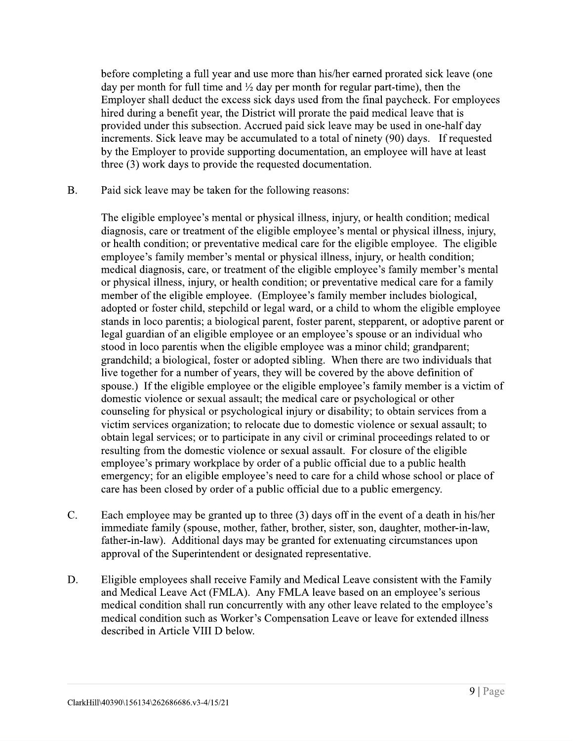before completing a full year and use more than his/her earned prorated sick leave (one day per month for full time and  $\frac{1}{2}$  day per month for regular part-time), then the Employer shall deduct the excess sick days used from the final paycheck. For employees hired during a benefit year, the District will prorate the paid medical leave that is provided under this subsection. Accrued paid sick leave may be used in one-half day increments. Sick leave may be accumulated to a total of ninety (90) days. If requested by the Employer to provide supporting documentation, an employee will have at least three (3) work days to provide the requested documentation.

 $B<sub>r</sub>$ Paid sick leave may be taken for the following reasons:

> The eligible employee's mental or physical illness, injury, or health condition; medical diagnosis, care or treatment of the eligible employee's mental or physical illness, injury, or health condition; or preventative medical care for the eligible employee. The eligible employee's family member's mental or physical illness, injury, or health condition; medical diagnosis, care, or treatment of the eligible employee's family member's mental or physical illness, injury, or health condition; or preventative medical care for a family member of the eligible employee. (Employee's family member includes biological, adopted or foster child, stepchild or legal ward, or a child to whom the eligible employee stands in loco parentis; a biological parent, foster parent, stepparent, or adoptive parent or legal guardian of an eligible employee or an employee's spouse or an individual who stood in loco parentis when the eligible employee was a minor child; grandparent; grandchild; a biological, foster or adopted sibling. When there are two individuals that live together for a number of years, they will be covered by the above definition of spouse.) If the eligible employee or the eligible employee's family member is a victim of domestic violence or sexual assault; the medical care or psychological or other counseling for physical or psychological injury or disability; to obtain services from a victim services organization; to relocate due to domestic violence or sexual assault; to obtain legal services; or to participate in any civil or criminal proceedings related to or resulting from the domestic violence or sexual assault. For closure of the eligible employee's primary workplace by order of a public official due to a public health emergency; for an eligible employee's need to care for a child whose school or place of care has been closed by order of a public official due to a public emergency.

- $C_{\cdot}$ Each employee may be granted up to three (3) days off in the event of a death in his/her immediate family (spouse, mother, father, brother, sister, son, daughter, mother-in-law, father-in-law). Additional days may be granted for extenuating circumstances upon approval of the Superintendent or designated representative.
- D. Eligible employees shall receive Family and Medical Leave consistent with the Family and Medical Leave Act (FMLA). Any FMLA leave based on an employee's serious medical condition shall run concurrently with any other leave related to the employee's medical condition such as Worker's Compensation Leave or leave for extended illness described in Article VIII D below.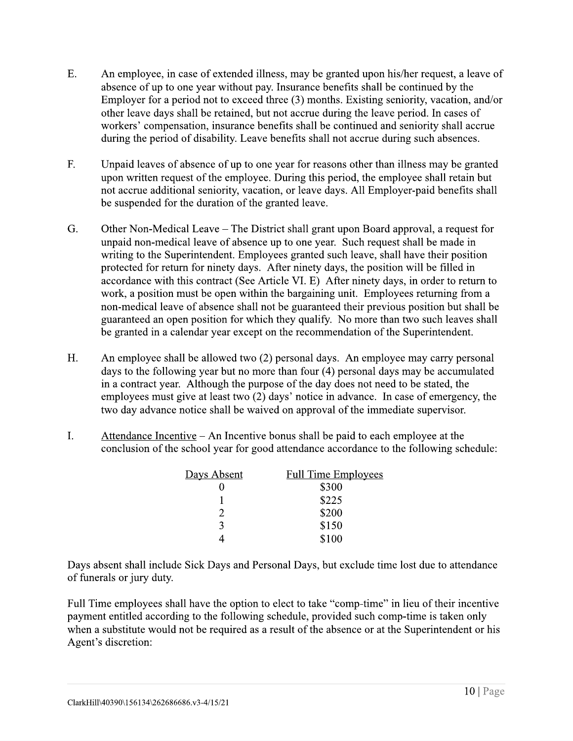- E. An employee, in case of extended illness, may be granted upon his/her request, a leave of absence of up to one year without pay. Insurance benefits shall be continued by the Employer for a period not to exceed three (3) months. Existing seniority, vacation, and/or other leave days shall be retained, but not accrue during the leave period. In cases of workers' compensation, insurance benefits shall be continued and seniority shall accrue during the period of disability. Leave benefits shall not accrue during such absences.
- $F_{\cdot}$ Unpaid leaves of absence of up to one year for reasons other than illness may be granted upon written request of the employee. During this period, the employee shall retain but not accrue additional seniority, vacation, or leave days. All Employer-paid benefits shall be suspended for the duration of the granted leave.
- G. Other Non-Medical Leave – The District shall grant upon Board approval, a request for unpaid non-medical leave of absence up to one year. Such request shall be made in writing to the Superintendent. Employees granted such leave, shall have their position protected for return for ninety days. After ninety days, the position will be filled in accordance with this contract (See Article VI, E) After ninety days, in order to return to work, a position must be open within the bargaining unit. Employees returning from a non-medical leave of absence shall not be guaranteed their previous position but shall be guaranteed an open position for which they qualify. No more than two such leaves shall be granted in a calendar year except on the recommendation of the Superintendent.
- H. An employee shall be allowed two (2) personal days. An employee may carry personal days to the following year but no more than four (4) personal days may be accumulated in a contract year. Although the purpose of the day does not need to be stated, the employees must give at least two (2) days' notice in advance. In case of emergency, the two day advance notice shall be waived on approval of the immediate supervisor.
- $I.$ Attendance Incentive – An Incentive bonus shall be paid to each employee at the conclusion of the school year for good attendance accordance to the following schedule:

| Days Absent | <b>Full Time Employees</b> |
|-------------|----------------------------|
|             | \$300                      |
|             | \$225                      |
|             | \$200                      |
| ζ           | \$150                      |
|             | \$100                      |

Days absent shall include Sick Days and Personal Days, but exclude time lost due to attendance of funerals or jury duty.

Full Time employees shall have the option to elect to take "comp-time" in lieu of their incentive payment entitled according to the following schedule, provided such comp-time is taken only when a substitute would not be required as a result of the absence or at the Superintendent or his Agent's discretion: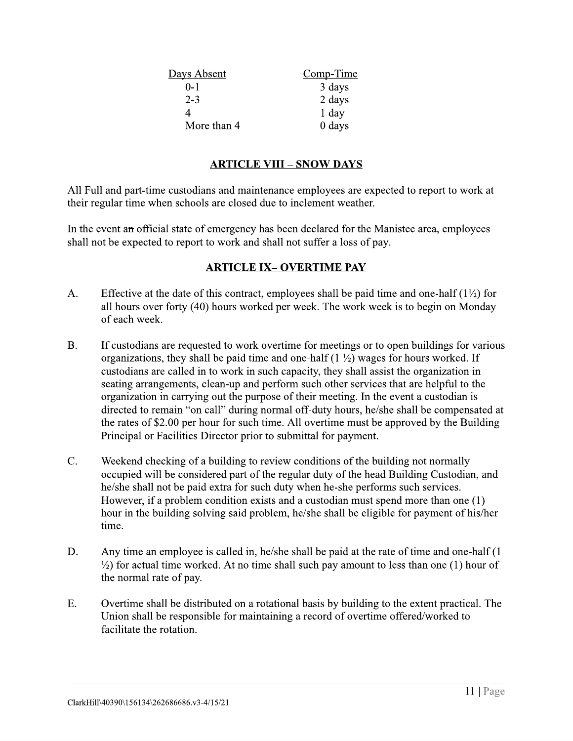| <u>Days Absent</u> | Comp-Time |
|--------------------|-----------|
| 0-1                | 3 days    |
| $2 - 3$            | 2 days    |
|                    | 1 day     |
| More than 4        | 0 days    |

#### **ARTICLE VIII - SNOW DAYS**

All Full and part-time custodians and maintenance employees are expected to report to work at their regular time when schools are closed due to inclement weather.

In the event an official state of emergency has been declared for the Manistee area, employees shall not be expected to report to work and shall not suffer a loss of pay.

#### **ARTICLE IX-OVERTIME PAY**

- Effective at the date of this contract, employees shall be paid time and one-half  $(1\frac{1}{2})$  for  $A<sub>1</sub>$ all hours over forty (40) hours worked per week. The work week is to begin on Monday of each week.
- $B<sub>1</sub>$ If custodians are requested to work overtime for meetings or to open buildings for various organizations, they shall be paid time and one-half  $(1 \frac{1}{2})$  wages for hours worked. If custodians are called in to work in such capacity, they shall assist the organization in seating arrangements, clean-up and perform such other services that are helpful to the organization in carrying out the purpose of their meeting. In the event a custodian is directed to remain "on call" during normal off-duty hours, he/she shall be compensated at the rates of \$2.00 per hour for such time. All overtime must be approved by the Building Principal or Facilities Director prior to submittal for payment.
- $C_{\cdot}$ Weekend checking of a building to review conditions of the building not normally occupied will be considered part of the regular duty of the head Building Custodian, and he/she shall not be paid extra for such duty when he-she performs such services. However, if a problem condition exists and a custodian must spend more than one (1) hour in the building solving said problem, he/she shall be eligible for payment of his/her time.
- D. Any time an employee is called in, he/she shall be paid at the rate of time and one-half (1)  $\frac{1}{2}$  for actual time worked. At no time shall such pay amount to less than one (1) hour of the normal rate of pay.
- $E.$ Overtime shall be distributed on a rotational basis by building to the extent practical. The Union shall be responsible for maintaining a record of overtime offered/worked to facilitate the rotation.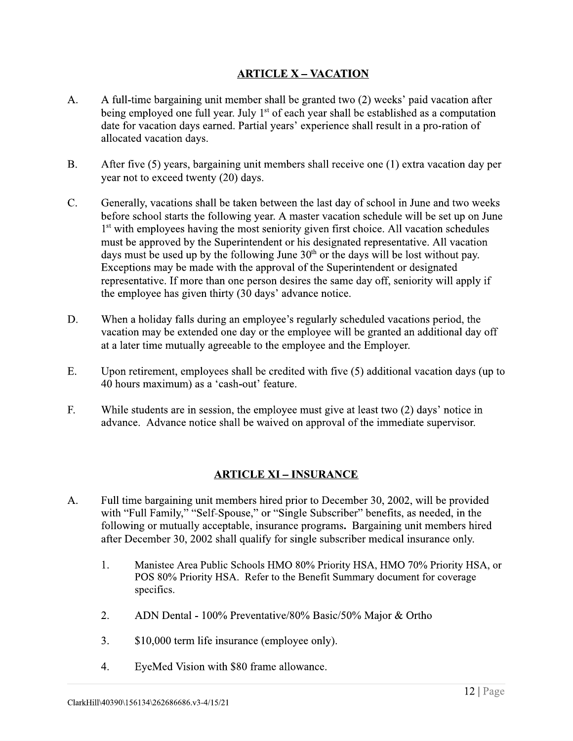#### **ARTICLE X - VACATION**

- $A_{\cdot}$ A full-time bargaining unit member shall be granted two (2) weeks' paid vacation after being employed one full year. July  $1<sup>st</sup>$  of each year shall be established as a computation date for vacation days earned. Partial years' experience shall result in a pro-ration of allocated vacation days.
- $B<sub>r</sub>$ After five (5) years, bargaining unit members shall receive one (1) extra vacation day per year not to exceed twenty (20) days.
- $\overline{C}$ . Generally, vacations shall be taken between the last day of school in June and two weeks before school starts the following year. A master vacation schedule will be set up on June 1<sup>st</sup> with employees having the most seniority given first choice. All vacation schedules must be approved by the Superintendent or his designated representative. All vacation days must be used up by the following June  $30<sup>th</sup>$  or the days will be lost without pay. Exceptions may be made with the approval of the Superintendent or designated representative. If more than one person desires the same day off, seniority will apply if the employee has given thirty (30 days' advance notice.
- D. When a holiday falls during an employee's regularly scheduled vacations period, the vacation may be extended one day or the employee will be granted an additional day off at a later time mutually agreeable to the employee and the Employer.
- E. Upon retirement, employees shall be credited with five (5) additional vacation days (up to 40 hours maximum) as a 'cash-out' feature.
- F. While students are in session, the employee must give at least two (2) days' notice in advance. Advance notice shall be waived on approval of the immediate supervisor.

#### **ARTICLE XI - INSURANCE**

- Full time bargaining unit members hired prior to December 30, 2002, will be provided  $A<sub>1</sub>$ with "Full Family," "Self-Spouse," or "Single Subscriber" benefits, as needed, in the following or mutually acceptable, insurance programs. Bargaining unit members hired after December 30, 2002 shall qualify for single subscriber medical insurance only.
	- $1.$ Manistee Area Public Schools HMO 80% Priority HSA, HMO 70% Priority HSA, or POS 80% Priority HSA. Refer to the Benefit Summary document for coverage specifics.
	- $2<sub>1</sub>$ ADN Dental - 100% Preventative/80% Basic/50% Major & Ortho
	- $3.$ \$10,000 term life insurance (employee only).
	- $4_{\cdot}$ EyeMed Vision with \$80 frame allowance.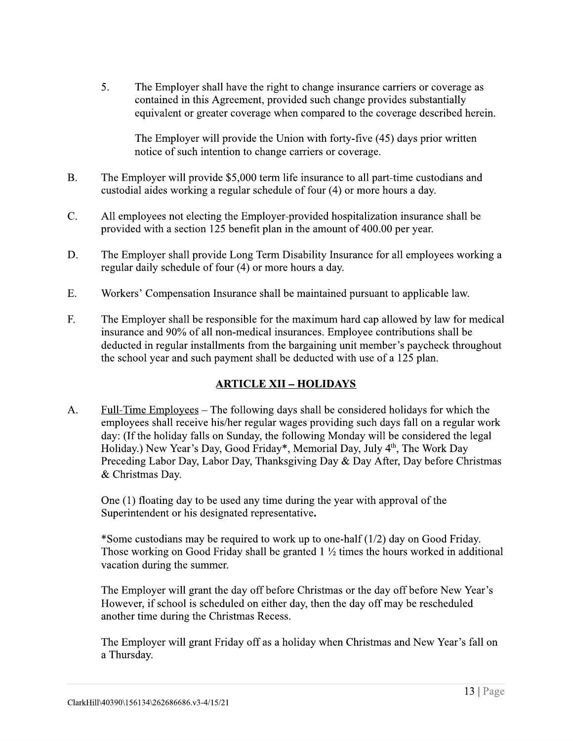The Employer shall have the right to change insurance carriers or coverage as  $5<sub>1</sub>$ contained in this Agreement, provided such change provides substantially equivalent or greater coverage when compared to the coverage described herein.

The Employer will provide the Union with forty-five (45) days prior written notice of such intention to change carriers or coverage.

- $B<sub>1</sub>$ The Employer will provide \$5,000 term life insurance to all part-time custodians and custodial aides working a regular schedule of four (4) or more hours a day.
- $C_{\cdot}$ All employees not electing the Employer-provided hospitalization insurance shall be provided with a section 125 benefit plan in the amount of 400.00 per year.
- D. The Employer shall provide Long Term Disability Insurance for all employees working a regular daily schedule of four (4) or more hours a day.
- $E.$ Workers' Compensation Insurance shall be maintained pursuant to applicable law.
- $F_{\cdot}$ The Employer shall be responsible for the maximum hard cap allowed by law for medical insurance and 90% of all non-medical insurances. Employee contributions shall be deducted in regular installments from the bargaining unit member's paycheck throughout the school year and such payment shall be deducted with use of a 125 plan.

#### <u> ARTICLE XII – HOLIDAYS</u>

 $A<sub>1</sub>$ Full-Time Employees – The following days shall be considered holidays for which the employees shall receive his/her regular wages providing such days fall on a regular work day: (If the holiday falls on Sunday, the following Monday will be considered the legal Holiday.) New Year's Day, Good Friday\*, Memorial Day, July 4<sup>th</sup>, The Work Day Preceding Labor Day, Labor Day, Thanksgiving Day & Day After, Day before Christmas & Christmas Day.

One (1) floating day to be used any time during the year with approval of the Superintendent or his designated representative.

\*Some custodians may be required to work up to one-half (1/2) day on Good Friday. Those working on Good Friday shall be granted  $1\frac{1}{2}$  times the hours worked in additional vacation during the summer.

The Employer will grant the day off before Christmas or the day off before New Year's However, if school is scheduled on either day, then the day off may be rescheduled another time during the Christmas Recess.

The Employer will grant Friday off as a holiday when Christmas and New Year's fall on a Thursday.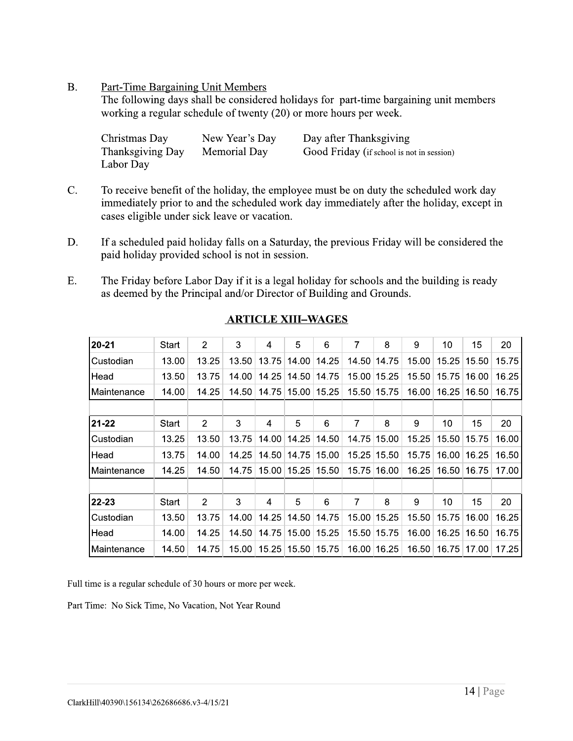#### $B<sub>r</sub>$ **Part-Time Bargaining Unit Members**

The following days shall be considered holidays for part-time bargaining unit members working a regular schedule of twenty (20) or more hours per week.

| Christmas Day    | New Year's Day | Day after Thanksgiving                    |
|------------------|----------------|-------------------------------------------|
| Thanksgiving Day | Memorial Day   | Good Friday (if school is not in session) |
| Labor Day        |                |                                           |

- $C_{\cdot}$ To receive benefit of the holiday, the employee must be on duty the scheduled work day immediately prior to and the scheduled work day immediately after the holiday, except in cases eligible under sick leave or vacation.
- D. If a scheduled paid holiday falls on a Saturday, the previous Friday will be considered the paid holiday provided school is not in session.
- $E.$ The Friday before Labor Day if it is a legal holiday for schools and the building is ready as deemed by the Principal and/or Director of Building and Grounds.

| $20 - 21$     | Start | $\overline{2}$ | 3     | 4     | 5     | 6     | 7     | 8           | 9     | 10    | 15    | 20    |
|---------------|-------|----------------|-------|-------|-------|-------|-------|-------------|-------|-------|-------|-------|
| Custodian     | 13.00 | 13.25          | 13.50 | 13.75 | 14.00 | 14.25 | 14.50 | 14.75       | 15.00 | 15.25 | 15.50 | 15.75 |
| Head          | 13.50 | 13.75          | 14.00 | 14.25 | 14.50 | 14.75 |       | 15.00 15.25 | 15.50 | 15.75 | 16.00 | 16.25 |
| l Maintenance | 14.00 | 14.25          | 14.50 | 14.75 | 15.00 | 15.25 | 15.50 | 15.75       | 16.00 | 16.25 | 16.50 | 16.75 |
|               |       |                |       |       |       |       |       |             |       |       |       |       |
| 21-22         | Start | $\overline{2}$ | 3     | 4     | 5     | 6     | 7     | 8           | 9     | 10    | 15    | 20    |
| Custodian     | 13.25 | 13.50          | 13.75 | 14.00 | 14.25 | 14.50 | 14.75 | 15.00       | 15.25 | 15.50 | 15.75 | 16.00 |
| Head          | 13.75 | 14.00          | 14.25 | 14.50 | 14.75 | 15.00 | 15.25 | 15.50       | 15.75 | 16.00 | 16.25 | 16.50 |
| Maintenance   | 14.25 | 14.50          | 14.75 | 15.00 | 15.25 | 15.50 | 15.75 | ∣16.00      | 16.25 | 16.50 | 16.75 | 17.00 |
|               |       |                |       |       |       |       |       |             |       |       |       |       |
| 22-23         | Start | $\overline{2}$ | 3     | 4     | 5     | 6     | 7     | 8           | 9     | 10    | 15    | 20    |
| Custodian     | 13.50 | 13.75          | 14.00 | 14.25 | 14.50 | 14.75 | 15.00 | 15.25       | 15.50 | 15.75 | 16.00 | 16.25 |
| Head          | 14.00 | 14.25          | 14.50 | 14.75 | 15.00 | 15.25 | 15.50 | 15.75       | 16.00 | 16.25 | 16.50 | 16.75 |
| Maintenance   | 14.50 | 14.75          | 15.00 | 15.25 | 15.50 | 15.75 | 16.00 | 16.25       | 16.50 | 16.75 | 17.00 | 17.25 |

#### **ARTICLE XIII-WAGES**

Full time is a regular schedule of 30 hours or more per week.

Part Time: No Sick Time, No Vacation, Not Year Round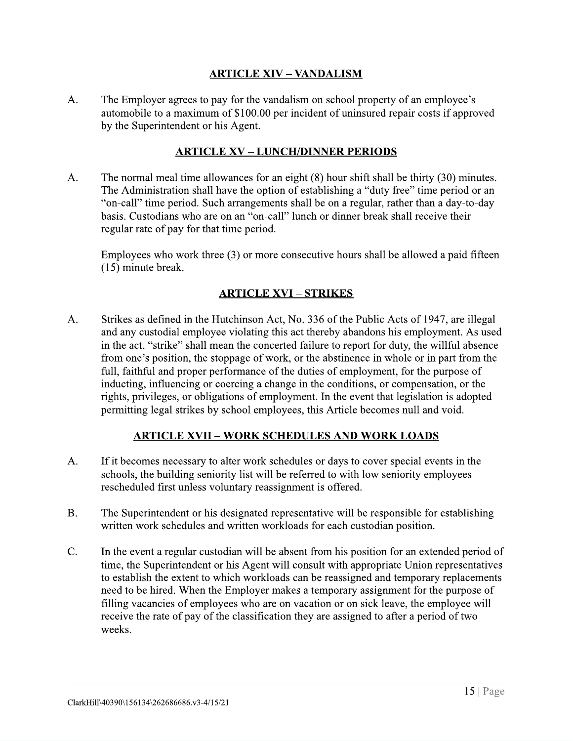#### **ARTICLE XIV - VANDALISM**

 $A_{\cdot}$ The Employer agrees to pay for the vandalism on school property of an employee's automobile to a maximum of \$100.00 per incident of uninsured repair costs if approved by the Superintendent or his Agent.

#### **ARTICLE XV - LUNCH/DINNER PERIODS**

The normal meal time allowances for an eight (8) hour shift shall be thirty (30) minutes.  $A<sub>1</sub>$ The Administration shall have the option of establishing a "duty free" time period or an "on-call" time period. Such arrangements shall be on a regular, rather than a day-to-day basis. Custodians who are on an "on-call" lunch or dinner break shall receive their regular rate of pay for that time period.

Employees who work three  $(3)$  or more consecutive hours shall be allowed a paid fifteen  $(15)$  minute break.

#### **ARTICLE XVI - STRIKES**

 $A_{\cdot}$ Strikes as defined in the Hutchinson Act, No. 336 of the Public Acts of 1947, are illegal and any custodial employee violating this act thereby abandons his employment. As used in the act, "strike" shall mean the concerted failure to report for duty, the willful absence from one's position, the stoppage of work, or the abstinence in whole or in part from the full, faithful and proper performance of the duties of employment, for the purpose of inducting, influencing or coercing a change in the conditions, or compensation, or the rights, privileges, or obligations of employment. In the event that legislation is adopted permitting legal strikes by school employees, this Article becomes null and void.

#### <u> ARTICLE XVII – WORK SCHEDULES AND WORK LOADS</u>

- $A<sub>1</sub>$ If it becomes necessary to alter work schedules or days to cover special events in the schools, the building seniority list will be referred to with low seniority employees rescheduled first unless voluntary reassignment is offered.
- $B<sub>1</sub>$ The Superintendent or his designated representative will be responsible for establishing written work schedules and written workloads for each custodian position.
- $C_{\cdot}$ In the event a regular custodian will be absent from his position for an extended period of time, the Superintendent or his Agent will consult with appropriate Union representatives to establish the extent to which workloads can be reassigned and temporary replacements need to be hired. When the Employer makes a temporary assignment for the purpose of filling vacancies of employees who are on vacation or on sick leave, the employee will receive the rate of pay of the classification they are assigned to after a period of two weeks.